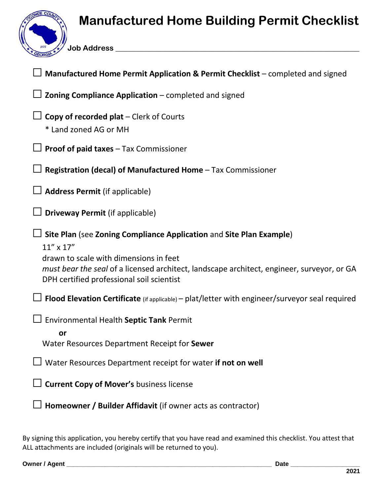## **Manufactured Home Building Permit Checklist**

**Job Address \_\_\_\_\_\_\_\_\_\_\_\_\_\_\_\_\_\_\_\_\_\_\_\_\_\_\_\_\_\_\_\_\_\_\_\_\_\_\_\_\_\_\_\_\_\_\_\_\_\_\_\_\_\_\_\_\_\_\_\_\_\_\_\_\_**

| Manufactured Home Permit Application & Permit Checklist – completed and signed                                                                                                                                                                                                      |
|-------------------------------------------------------------------------------------------------------------------------------------------------------------------------------------------------------------------------------------------------------------------------------------|
| Zoning Compliance Application - completed and signed                                                                                                                                                                                                                                |
| <b>Copy of recorded plat</b> $-$ Clerk of Courts<br>* Land zoned AG or MH                                                                                                                                                                                                           |
| $\Box$ Proof of paid taxes – Tax Commissioner                                                                                                                                                                                                                                       |
| Registration (decal) of Manufactured Home - Tax Commissioner                                                                                                                                                                                                                        |
| <b>Address Permit (if applicable)</b>                                                                                                                                                                                                                                               |
| <b>Driveway Permit (if applicable)</b>                                                                                                                                                                                                                                              |
| $\perp$ Site Plan (see Zoning Compliance Application and Site Plan Example)<br>$11''$ x $17''$<br>drawn to scale with dimensions in feet<br>must bear the seal of a licensed architect, landscape architect, engineer, surveyor, or GA<br>DPH certified professional soil scientist |
| $\Box$ Flood Elevation Certificate (if applicable) – plat/letter with engineer/surveyor seal required                                                                                                                                                                               |
| <b>Environmental Health Septic Tank Permit</b><br>or<br>Water Resources Department Receipt for Sewer                                                                                                                                                                                |
| $\Box$ Water Resources Department receipt for water if not on well                                                                                                                                                                                                                  |
| <b>Current Copy of Mover's business license</b>                                                                                                                                                                                                                                     |
| Homeowner / Builder Affidavit (if owner acts as contractor)                                                                                                                                                                                                                         |

By signing this application, you hereby certify that you have read and examined this checklist. You attest that ALL attachments are included (originals will be returned to you).